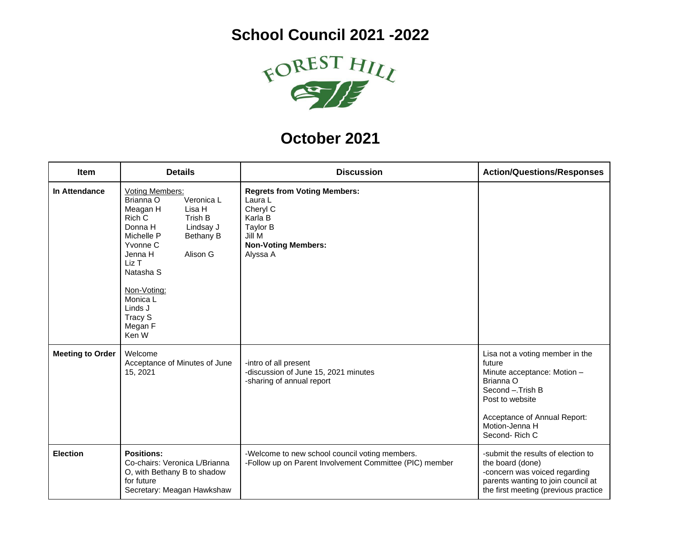

## **October 2021**

| <b>Item</b>             | <b>Details</b>                                                                                                                                                                                                                                                                       | <b>Discussion</b>                                                                                                                     | <b>Action/Questions/Responses</b>                                                                                                                                                               |
|-------------------------|--------------------------------------------------------------------------------------------------------------------------------------------------------------------------------------------------------------------------------------------------------------------------------------|---------------------------------------------------------------------------------------------------------------------------------------|-------------------------------------------------------------------------------------------------------------------------------------------------------------------------------------------------|
| In Attendance           | <b>Voting Members:</b><br>Brianna O<br>Veronica L<br>Meagan H<br>Lisa H<br>Rich C<br>Trish B<br>Donna H<br>Lindsay J<br>Michelle P<br><b>Bethany B</b><br>Yvonne C<br>Alison G<br>Jenna H<br>Liz T<br>Natasha S<br>Non-Voting:<br>Monica L<br>Linds J<br>Tracy S<br>Megan F<br>Ken W | <b>Regrets from Voting Members:</b><br>Laura L<br>Cheryl C<br>Karla B<br>Taylor B<br>Jill M<br><b>Non-Voting Members:</b><br>Alyssa A |                                                                                                                                                                                                 |
| <b>Meeting to Order</b> | Welcome<br>Acceptance of Minutes of June<br>15, 2021                                                                                                                                                                                                                                 | -intro of all present<br>-discussion of June 15, 2021 minutes<br>-sharing of annual report                                            | Lisa not a voting member in the<br>future<br>Minute acceptance: Motion -<br>Brianna O<br>Second - Trish B<br>Post to website<br>Acceptance of Annual Report:<br>Motion-Jenna H<br>Second-Rich C |
| <b>Election</b>         | <b>Positions:</b><br>Co-chairs: Veronica L/Brianna<br>O, with Bethany B to shadow<br>for future<br>Secretary: Meagan Hawkshaw                                                                                                                                                        | -Welcome to new school council voting members.<br>-Follow up on Parent Involvement Committee (PIC) member                             | -submit the results of election to<br>the board (done)<br>-concern was voiced regarding<br>parents wanting to join council at<br>the first meeting (previous practice                           |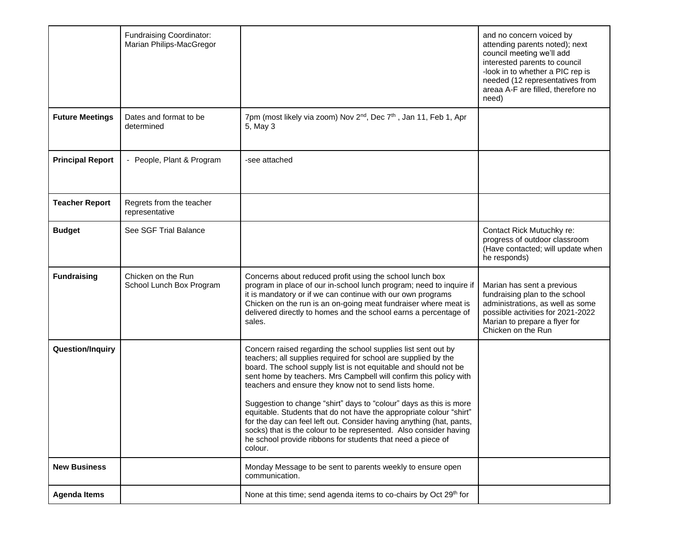|                         | Fundraising Coordinator:<br>Marian Philips-MacGregor |                                                                                                                                                                                                                                                                                                                                                                                                                                                                                                                                                                                                                                                                                                       | and no concern voiced by<br>attending parents noted); next<br>council meeting we'll add<br>interested parents to council<br>-look in to whether a PIC rep is<br>needed (12 representatives from<br>areaa A-F are filled, therefore no<br>need) |
|-------------------------|------------------------------------------------------|-------------------------------------------------------------------------------------------------------------------------------------------------------------------------------------------------------------------------------------------------------------------------------------------------------------------------------------------------------------------------------------------------------------------------------------------------------------------------------------------------------------------------------------------------------------------------------------------------------------------------------------------------------------------------------------------------------|------------------------------------------------------------------------------------------------------------------------------------------------------------------------------------------------------------------------------------------------|
| <b>Future Meetings</b>  | Dates and format to be<br>determined                 | 7pm (most likely via zoom) Nov 2 <sup>nd</sup> , Dec 7 <sup>th</sup> , Jan 11, Feb 1, Apr<br>5, May 3                                                                                                                                                                                                                                                                                                                                                                                                                                                                                                                                                                                                 |                                                                                                                                                                                                                                                |
| <b>Principal Report</b> | - People, Plant & Program                            | -see attached                                                                                                                                                                                                                                                                                                                                                                                                                                                                                                                                                                                                                                                                                         |                                                                                                                                                                                                                                                |
| <b>Teacher Report</b>   | Regrets from the teacher<br>representative           |                                                                                                                                                                                                                                                                                                                                                                                                                                                                                                                                                                                                                                                                                                       |                                                                                                                                                                                                                                                |
| <b>Budget</b>           | See SGF Trial Balance                                |                                                                                                                                                                                                                                                                                                                                                                                                                                                                                                                                                                                                                                                                                                       | Contact Rick Mutuchky re:<br>progress of outdoor classroom<br>(Have contacted; will update when<br>he responds)                                                                                                                                |
| <b>Fundraising</b>      | Chicken on the Run<br>School Lunch Box Program       | Concerns about reduced profit using the school lunch box<br>program in place of our in-school lunch program; need to inquire if<br>it is mandatory or if we can continue with our own programs<br>Chicken on the run is an on-going meat fundraiser where meat is<br>delivered directly to homes and the school earns a percentage of<br>sales.                                                                                                                                                                                                                                                                                                                                                       | Marian has sent a previous<br>fundraising plan to the school<br>administrations, as well as some<br>possible activities for 2021-2022<br>Marian to prepare a flyer for<br>Chicken on the Run                                                   |
| Question/Inquiry        |                                                      | Concern raised regarding the school supplies list sent out by<br>teachers; all supplies required for school are supplied by the<br>board. The school supply list is not equitable and should not be<br>sent home by teachers. Mrs Campbell will confirm this policy with<br>teachers and ensure they know not to send lists home.<br>Suggestion to change "shirt" days to "colour" days as this is more<br>equitable. Students that do not have the appropriate colour "shirt"<br>for the day can feel left out. Consider having anything (hat, pants,<br>socks) that is the colour to be represented. Also consider having<br>he school provide ribbons for students that need a piece of<br>colour. |                                                                                                                                                                                                                                                |
| <b>New Business</b>     |                                                      | Monday Message to be sent to parents weekly to ensure open<br>communication.                                                                                                                                                                                                                                                                                                                                                                                                                                                                                                                                                                                                                          |                                                                                                                                                                                                                                                |
| <b>Agenda Items</b>     |                                                      | None at this time; send agenda items to co-chairs by Oct 29 <sup>th</sup> for                                                                                                                                                                                                                                                                                                                                                                                                                                                                                                                                                                                                                         |                                                                                                                                                                                                                                                |